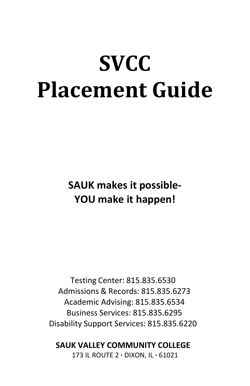# **SVCC Placement Guide**

**SAUK makes it possible-YOU make it happen!**

Testing Center: 815.835.6530 Admissions & Records: 815.835.6273 Academic Advising: 815.835.6534 Business Services: 815.835.6295 Disability Support Services: 815.835.6220

#### **SAUK VALLEY COMMUNITY COLLEGE**

173 IL ROUTE 2 **∙** DIXON, IL **∙** 61021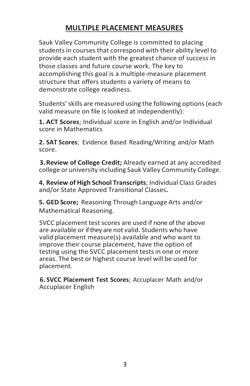# **MULTIPLE PLACEMENT MEASURES**

Sauk Valley Community College is committed to placing students in courses that correspond with their ability level to provide each student with the greatest chance of success in those classes and future course work. The key to accomplishing this goal is a multiple-measure placement structure that offers students a variety of means to demonstrate college readiness.

Students' skills are measured using the following options (each valid measure on file is looked at independently):

**1. ACT Scores**; Individual score in English and/or Individual score in Mathematics

**2. SAT Scores**; Evidence Based Reading/Writing and/or Math score.

**3.Review of College Credit;** Already earned at any accredited college or university including Sauk Valley Community College.

**4. Review of High School Transcripts**; Individual Class Grades and/or State Approved Transitional Classes**.**

**5. GED Score;** Reasoning Through Language Arts and/or Mathematical Reasoning.

SVCC placement test scores are used if none of the above are available or if they are not valid. Students who have valid placement measure(s) available and who want to improve their course placement, have the option of testing using the SVCC placement testsin one or more areas. The best or highest course level will be used for placement.

**6. SVCC Placement Test Scores**; Accuplacer Math and/or Accuplacer English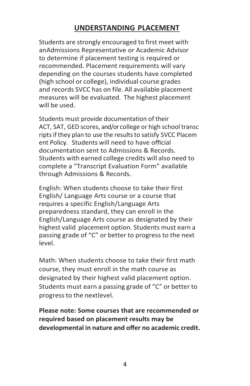# **UNDERSTANDING PLACEMENT**

Students are strongly encouraged to first meet with anAdmissions Representative or Academic Advisor to determine if placement testing is required or recommended. Placement requirements will vary depending on the courses students have completed (high school or college), individual course grades and records SVCC has on file. All available placement measures will be evaluated. The highest placement will be used.

Students must provide documentation of their ACT, SAT, GED scores, and/or college or high school transc ripts if they plan to use the results to satisfy SVCC Placem ent Policy. Students will need to have official documentation sent to Admissions & Records. Students with earned college credits will also need to complete a "Transcript Evaluation Form" available through Admissions & Records.

English: When students choose to take their first English/ Language Arts course or a course that requires a specific English/Language Arts preparedness standard, they can enroll in the English/Language Arts course as designated by their highest valid placement option. Students must earn a passing grade of "C" or better to progress to the next level.

Math: When students choose to take their first math course, they must enroll in the math course as designated by their highest valid placement option. Students must earn a passing grade of "C" or better to progress to the nextlevel.

**Please note: Some courses that are recommended or required based on placement results may be developmental in nature and offer no academic credit.**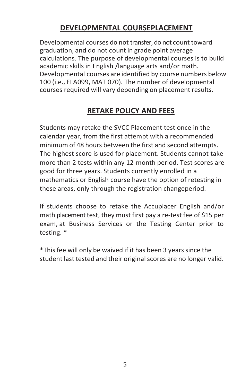# **DEVELOPMENTAL COURSEPLACEMENT**

Developmental courses do not transfer, do not count toward graduation, and do not count in grade point average calculations. The purpose of developmental courses is to build academic skills in English /language arts and/or math. Developmental courses are identified by course numbers below 100 (i.e., ELA099, MAT 070). The number of developmental courses required will vary depending on placement results.

# **RETAKE POLICY AND FEES**

Students may retake the SVCC Placement test once in the calendar year, from the first attempt with a recommended minimum of 48 hours between the first and second attempts. The highest score is used for placement. Students cannot take more than 2 tests within any 12-month period. Test scores are good for three years. Students currently enrolled in a mathematics or English course have the option of retesting in these areas, only through the registration changeperiod.

If students choose to retake the Accuplacer English and/or math placement test, they must first pay a re-test fee of \$15 per exam, at Business Services or the Testing Center prior to testing. \*

\*Thisfee will only be waived if it has been 3 yearssince the student last tested and their original scores are no longer valid.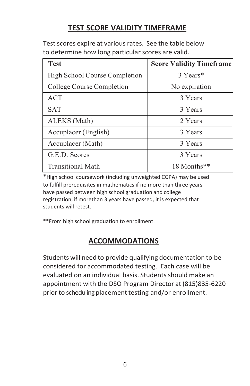# **TEST SCORE VALIDITY TIMEFRAME**

Test scores expire at various rates. See the table below to determine how long particular scores are valid.

| <b>Test</b>                   | <b>Score Validity Timeframe</b> |
|-------------------------------|---------------------------------|
| High School Course Completion | 3 Years*                        |
| College Course Completion     | No expiration                   |
| <b>ACT</b>                    | 3 Years                         |
| <b>SAT</b>                    | 3 Years                         |
| ALEKS (Math)                  | 2 Years                         |
| Accuplacer (English)          | 3 Years                         |
| Accuplacer (Math)             | 3 Years                         |
| G.E.D. Scores                 | 3 Years                         |
| <b>Transitional Math</b>      | 18 Months**                     |

\*High school coursework (including unweighted CGPA) may be used to fulfill prerequisites in mathematics if no more than three years have passed between high school graduation and college registration; if morethan 3 years have passed, it is expected that students will retest.

\*\*From high school graduation to enrollment.

# **ACCOMMODATIONS**

Students will need to provide qualifying documentation to be considered for accommodated testing. Each case will be evaluated on an individual basis. Students should make an appointment with the DSO Program Director at (815)835-6220 prior to scheduling placement testing and/or enrollment.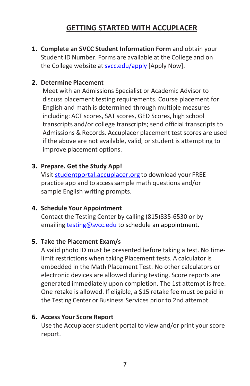# **GETTING STARTED WITH ACCUPLACER**

**1. Complete an SVCC Student Information Form** and obtain your Student ID Number. Forms are available at the College and on the College website at [svcc.edu/apply](https://soar.svcc.edu/SPROD/bwskalog.p_disploginnew?in_id=&cpbl=&newid=) [Apply Now].

#### **2. Determine Placement**

Meet with an Admissions Specialist or Academic Advisor to discuss placement testing requirements. Course placement for English and math is determined through multiple measures including: ACT scores, SAT scores, GED Scores, high school transcripts and/or college transcripts; send official transcripts to Admissions & Records. Accuplacer placement test scores are used if the above are not available, valid, or student is attempting to improve placement options.

#### **3. Prepare. Get the Study App!**

Visit [studentportal.accuplacer.org](https://accuplacer.collegeboard.org/students/prepare-for-accuplacer/practice) to download your FREE practice app and to access sample math questions and/or sample English writing prompts.

#### **4. Schedule Your Appointment**

Contact the Testing Center by calling (815)835-6530 or by emailin[g testing@svcc.edu](mailto:testing@svcc.edu) to schedule an appointment.

#### **5. Take the Placement Exam/s**

A valid photo ID must be presented before taking a test. No timelimit restrictions when taking Placement tests. A calculator is embedded in the Math Placement Test. No other calculators or electronic devices are allowed during testing. Score reports are generated immediately upon completion. The 1st attempt is free. One retake is allowed. If eligible, a \$15 retake fee must be paid in the Testing Center or Business Services prior to 2nd attempt.

#### **6. Access Your Score Report**

Use the Accuplacer student portal to view and/or print your score report.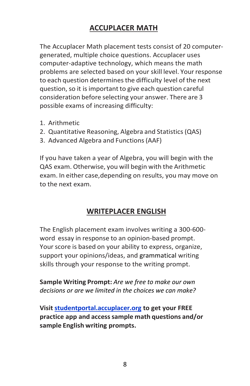# **ACCUPLACER MATH**

The Accuplacer Math placement tests consist of 20 computergenerated, multiple choice questions. Accuplacer uses computer-adaptive technology, which means the math problems are selected based on your skill level. Yourresponse to each question determines the difficulty level of the next question, so it isimportant to give each question careful consideration before selecting your answer. There are 3 possible exams of increasing difficulty:

- 1. Arithmetic
- 2. Quantitative Reasoning, Algebra and Statistics(QAS)
- 3. Advanced Algebra and Functions(AAF)

If you have taken a year of Algebra, you will begin with the QAS exam. Otherwise, you will begin with the Arithmetic exam. In either case,depending on results, you may move on to the next exam.

# **WRITEPLACER ENGLISH**

The English placement exam involves writing a 300-600 word essay in response to an opinion-based prompt. Your score is based on your ability to express, organize, support your opinions/ideas, and grammatical writing skills through your response to the writing prompt.

**Sample Writing Prompt:** *Are we free to make our own decisions or are we limited in the choices we can make?*

**Visi[t studentportal.accuplacer.org](https://accuplacer.collegeboard.org/students/prepare-for-accuplacer/practice) to get your FREE practice app and accesssample math questions and/or sample English writing prompts.**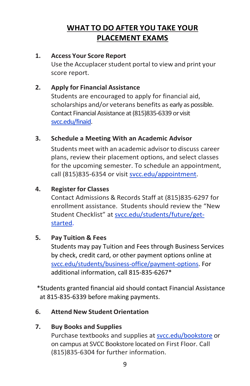# **WHAT TO DO AFTER YOU TAKE YOUR PLACEMENT EXAMS**

#### **1. Access Your Score Report**

Use the Accuplacer student portal to view and print your score report.

#### **2. Apply for Financial Assistance**

Students are encouraged to apply for financial aid, scholarships and/or veterans benefits as early as possible. Contact Financial Assistance at (815)835-6339 or visit [svcc.edu/finaid.](https://www.svcc.edu/students/finaid/)

#### **3. Schedule a Meeting With an Academic Advisor**

Students meet with an academic advisorto discuss career plans, review their placement options, and select classes for the upcoming semester. To schedule an appointment, call (815)835-6354 or visit [svcc.edu/appointment.](https://www.svcc.edu/appointment/)

#### **4. Register for Classes**

Contact Admissions & Records Staff at (815)835-6297 for enrollment assistance. Students should review the "New Student Checklist" at [svcc.edu/students/future/get](https://www.svcc.edu/students/future/get-started/new.html)[started.](https://www.svcc.edu/students/future/get-started/new.html)

#### **5. Pay Tuition & Fees**

Students may pay Tuition and Fees through Business Services by check, credit card, or other payment options online at [svcc.edu/students/business-office/payment-options.](https://www.svcc.edu/students/business-office/payment-options.html) For additional information, call 815-835-6267\*

\*Students granted financial aid should contact Financial Assistance at 815-835-6339 before making payments.

#### **6. Attend New Student Orientation**

#### **7. Buy Books and Supplies**

Purchase textbooks and supplies at [svcc.edu/bookstore](https://www.svcc.edu/follett-bookstore/index.html) or on campus at SVCC Bookstore located on First Floor. Call (815)835-6304 for further information.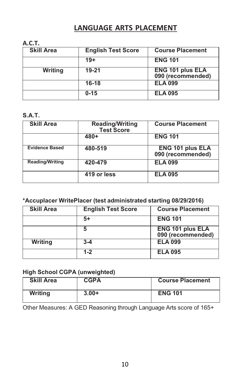# **LANGUAGE ARTS PLACEMENT**

| A.C.T.            |                           |                                              |
|-------------------|---------------------------|----------------------------------------------|
| <b>Skill Area</b> | <b>English Test Score</b> | <b>Course Placement</b>                      |
|                   | $19+$                     | <b>ENG 101</b>                               |
| <b>Writing</b>    | $19 - 21$                 | <b>ENG 101 plus ELA</b><br>090 (recommended) |
|                   | $16-18$                   | <b>ELA 099</b>                               |
|                   | $0 - 15$                  | <b>ELA 095</b>                               |

#### **S.A.T.**

| <b>Skill Area</b>      | <b>Reading/Writing</b><br><b>Test Score</b> | <b>Course Placement</b>               |  |  |
|------------------------|---------------------------------------------|---------------------------------------|--|--|
|                        | 480+                                        | <b>ENG 101</b>                        |  |  |
| <b>Evidence Based</b>  | 480-519                                     | ENG 101 plus ELA<br>090 (recommended) |  |  |
| <b>Reading/Writing</b> | 420-479                                     | <b>ELA 099</b>                        |  |  |
|                        | 419 or less                                 | <b>ELA 095</b>                        |  |  |

#### **\*Accuplacer WritePlacer (test administrated starting 08/29/2016)**

| <b>Skill Area</b> | <b>English Test Score</b> | <b>Course Placement</b>                      |
|-------------------|---------------------------|----------------------------------------------|
|                   | 5+                        | <b>ENG 101</b>                               |
|                   | 5                         | <b>ENG 101 plus ELA</b><br>090 (recommended) |
| Writing           | $3 - 4$                   | <b>ELA 099</b>                               |
|                   | $1 - 2$                   | <b>ELA 095</b>                               |

#### **High School CGPA (unweighted)**

| <b>Skill Area</b> | <b>CGPA</b> | <b>Course Placement</b> |
|-------------------|-------------|-------------------------|
| Writing           | $3.00+$     | <b>ENG 101</b>          |

Other Measures: A GED Reasoning through Language Arts score of 165+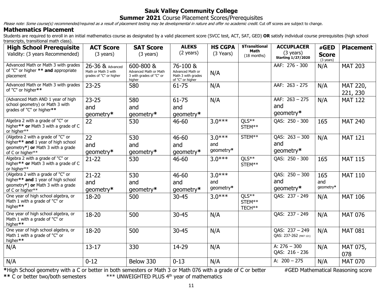### **Sauk Valley Community College Summer 2021** Course Placement Scores/Prerequisites

Please note: Some course(s) recommended/required as a result of placement testing may be developmental in nature and offer no academic credit. Cut off scores are subject to change.

#### **Mathematics Placement**

Students are required to enroll in an initial mathematics course as designated by a valid placement score (SVCC test, ACT, SAT, GED) **OR** satisfy individual course prerequisites (high school transcripts, transitional math class).

| <b>High School Prerequisite</b>                                                                                                  | <b>ACT Score</b>                                                   | <b>SAT Score</b>                                                        | <b>ALEKS</b>                                                           | <b>HS CGPA</b>               | \$Transitional<br>Math                | <b>ACCUPLACER</b>                                | #GED                      | <b>Placement</b>     |
|----------------------------------------------------------------------------------------------------------------------------------|--------------------------------------------------------------------|-------------------------------------------------------------------------|------------------------------------------------------------------------|------------------------------|---------------------------------------|--------------------------------------------------|---------------------------|----------------------|
| Validity: (3 years Recommended)                                                                                                  | $(3 \text{ years})$                                                | $(3 \text{ years})$                                                     | $(2 \text{ years})$                                                    | (3 Years)                    | (18 months)                           | $(3 \text{ years})$<br><b>Starting 1/27/2020</b> | <b>Score</b><br>(3 years) |                      |
| Advanced Math or Math 3 with grades<br>of "C" or higher ** and appropriate<br>placement                                          | 26-36 & Advanced<br>Math or Math 3 with<br>grades of "C" or higher | 600-800 &<br>Advanced Math or Math<br>3 with grades of "C" or<br>higher | 76-100 &<br>Advanced Math or<br>Math 3 with grades<br>of "C" or higher | N/A                          |                                       | AAF: 276 - 300                                   | N/A                       | <b>MAT 203</b>       |
| Advanced Math or Math 3 with grades<br>of "C" or higher**                                                                        | $23 - 25$                                                          | 580                                                                     | 61-75                                                                  | N/A                          |                                       | AAF: 263 - 275                                   | N/A                       | MAT 220,<br>221, 230 |
| (Advanced Math AND 1 year of high<br>school geometry) or Math 3 with<br>grades of "C" or higher**                                | $23 - 25$<br>and<br>geometry*                                      | 580<br>and<br>geometry*                                                 | 61-75<br>and<br>geometry*                                              | N/A                          |                                       | AAF: 263 - 275<br>and<br>geometry*               | N/A                       | <b>MAT 122</b>       |
| Algebra 2 with a grade of "C" or<br>higher** or Math 3 with a grade of C<br>or higher**                                          | 22                                                                 | 530                                                                     | 46-60                                                                  | $3.0***$                     | $OLS**$<br>STEM**                     | QAS: 250 - 300                                   | 165                       | <b>MAT 240</b>       |
| (Algebra 2 with a grade of "C" or<br>higher** and 1 year of high school<br>geometry*) or Math 3 with a grade<br>of C or higher** | 22<br>and<br>geometry*                                             | 530<br>and<br>geometry*                                                 | 46-60<br>and<br>geometry*                                              | $3.0***$<br>and<br>geometry* | STEM**                                | QAS: $263 - 300$<br>and<br>qeometry*             | N/A                       | <b>MAT 121</b>       |
| Algebra 2 with a grade of "C" or<br>higher** or Math 3 with a grade of C<br>or higher**                                          | $21 - 22$                                                          | 530                                                                     | 46-60                                                                  | $3.0***$                     | OLS**<br>STEM**                       | QAS: 250 - 300                                   | 165                       | <b>MAT 115</b>       |
| (Algebra 2 with a grade of "C" or<br>higher** and 1 year of high school<br>geometry*) or Math 3 with a grade<br>of C or higher** | $21 - 22$<br>and<br>geometry*                                      | 530<br>and<br>geometry*                                                 | 46-60<br>and<br>geometry*                                              | $3.0***$<br>and<br>geometry* |                                       | QAS: $250 - 300$<br>and<br>qeometry*             | 165<br>and<br>geometry*   | <b>MAT 110</b>       |
| One year of high school algebra, or<br>Math 1 with a grade of "C" or<br>higher**                                                 | 18-20                                                              | 500                                                                     | $30 - 45$                                                              | $3.0***$                     | QLS**<br>STEM**<br>TECH <sup>**</sup> | QAS: 237 - 249                                   | N/A                       | <b>MAT 106</b>       |
| One year of high school algebra, or<br>Math 1 with a grade of "C" or<br>higher**                                                 | 18-20                                                              | 500                                                                     | $30 - 45$                                                              | N/A                          |                                       | QAS: 237 - 249                                   | N/A                       | <b>MAT 076</b>       |
| One year of high school algebra, or<br>Math 1 with a grade of "C" or<br>higher**                                                 | 18-20                                                              | 500                                                                     | $30 - 45$                                                              | N/A                          |                                       | OAS: 237 - 249<br>QAS: 237-262 (MAT 121)         | N/A                       | <b>MAT 081</b>       |
| N/A                                                                                                                              | $13 - 17$                                                          | 330                                                                     | 14-29                                                                  | N/A                          |                                       | A: $276 - 300$<br>QAS: 216 - 236                 | N/A                       | MAT 075,<br>078      |
| N/A                                                                                                                              | $0 - 12$                                                           | Below 330                                                               | $0 - 13$                                                               | N/A                          |                                       | A: $200 - 275$                                   | N/A                       | <b>MAT 070</b>       |

\*High School geometry with a C or better in both semesters or Math 3 or Math 076 with a grade of C or better #GED Mathematical Reasoning score <br>\*\* C or better two/both semesters \*\*\* UNWEIGHTED PLUS 4<sup>th</sup> year of mathematic \*\*\* UNWEIGHTED PLUS 4<sup>th</sup> year of mathematics

11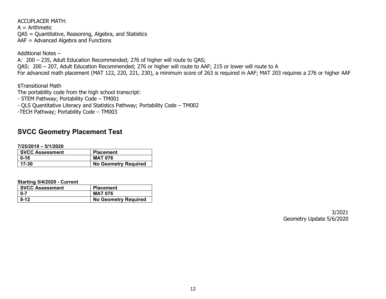ACCUPLACER MATH:  $A =$  Arithmetic QAS = Quantitative, Reasoning, Algebra, and Statistics AAF = Advanced Algebra and Functions

Additional Notes – A: 200 – 235, Adult Education Recommended; 276 of higher will route to QAS; QAS: 200 – 207, Adult Education Recommended; 276 or higher will route to AAF; 215 or lower will route to A For advanced math placement (MAT 122, 220, 221, 230), a minimum score of 263 is required in AAF; MAT 203 requires a 276 or higher AAF

\$Transitional Math

The portability code from the high school transcript:

- STEM Pathway; Portability Code TM001
- QLS Quantitative Literacy and Statistics Pathway; Portability Code TM002
- -TECH Pathway; Portability Code TM003

# **SVCC Geometry Placement Test**

**7/25/2019 – 5/1/2020**

| <b>SVCC Assessment</b> | <b>Placement</b>            |
|------------------------|-----------------------------|
| 0-16                   | <b>MAT 076</b>              |
| 17-30                  | <b>No Geometry Required</b> |

#### **Starting 5/4/2020 - Current**

| <b>SVCC Assessment</b> | <b>Placement</b>            |
|------------------------|-----------------------------|
| 0-7                    | <b>MAT 076</b>              |
| $8-12$                 | <b>No Geometry Required</b> |

3/2021 Geometry Update 5/6/2020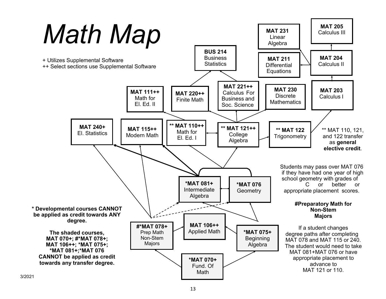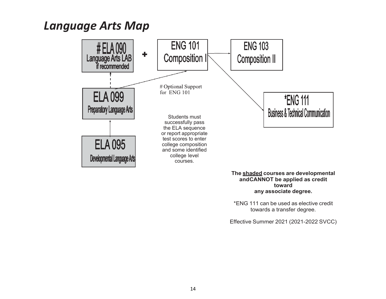# *Language Arts Map*



**The shaded courses are developmental andCANNOT be applied as credit toward any associate degree.**

\*ENG 111 can be used as elective credit towards a transfer degree.

Effective Summer 2021 (2021-2022 SVCC)